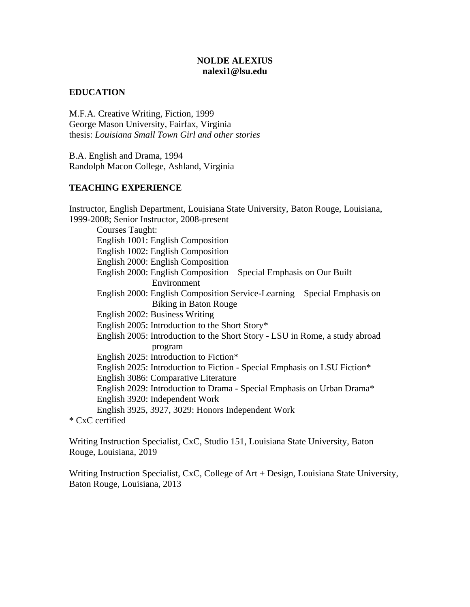## **NOLDE ALEXIUS nalexi1@lsu.edu**

## **EDUCATION**

M.F.A. Creative Writing, Fiction, 1999 George Mason University, Fairfax, Virginia thesis: *Louisiana Small Town Girl and other stories*

B.A. English and Drama, 1994 Randolph Macon College, Ashland, Virginia

## **TEACHING EXPERIENCE**

Instructor, English Department, Louisiana State University, Baton Rouge, Louisiana, 1999-2008; Senior Instructor, 2008-present Courses Taught: English 1001: English Composition English 1002: English Composition English 2000: English Composition English 2000: English Composition – Special Emphasis on Our Built Environment English 2000: English Composition Service-Learning – Special Emphasis on Biking in Baton Rouge English 2002: Business Writing English 2005: Introduction to the Short Story\* English 2005: Introduction to the Short Story - LSU in Rome, a study abroad program English 2025: Introduction to Fiction\* English 2025: Introduction to Fiction - Special Emphasis on LSU Fiction\* English 3086: Comparative Literature English 2029: Introduction to Drama - Special Emphasis on Urban Drama\* English 3920: Independent Work English 3925, 3927, 3029: Honors Independent Work

\* CxC certified

Writing Instruction Specialist, CxC, Studio 151, Louisiana State University, Baton Rouge, Louisiana, 2019

Writing Instruction Specialist, CxC, College of Art + Design, Louisiana State University, Baton Rouge, Louisiana, 2013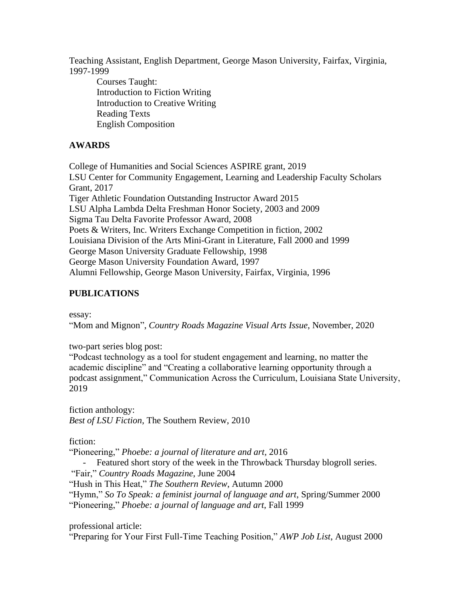Teaching Assistant, English Department, George Mason University, Fairfax, Virginia, 1997-1999

Courses Taught: Introduction to Fiction Writing Introduction to Creative Writing Reading Texts English Composition

## **AWARDS**

College of Humanities and Social Sciences ASPIRE grant, 2019 LSU Center for Community Engagement, Learning and Leadership Faculty Scholars Grant, 2017 Tiger Athletic Foundation Outstanding Instructor Award 2015 LSU Alpha Lambda Delta Freshman Honor Society, 2003 and 2009 Sigma Tau Delta Favorite Professor Award, 2008 Poets & Writers, Inc. Writers Exchange Competition in fiction, 2002 Louisiana Division of the Arts Mini-Grant in Literature, Fall 2000 and 1999 George Mason University Graduate Fellowship, 1998 George Mason University Foundation Award, 1997 Alumni Fellowship, George Mason University, Fairfax, Virginia, 1996

## **PUBLICATIONS**

essay:

"Mom and Mignon", *Country Roads Magazine Visual Arts Issue*, November, 2020

two-part series blog post:

"Podcast technology as a tool for student engagement and learning, no matter the academic discipline" and "Creating a collaborative learning opportunity through a podcast assignment," Communication Across the Curriculum, Louisiana State University, 2019

fiction anthology: *Best of LSU Fiction*, The Southern Review, 2010

fiction:

"Pioneering," *Phoebe: a journal of literature and art,* 2016

- Featured short story of the week in the Throwback Thursday blogroll series.

"Fair," *Country Roads Magazine*, June 2004

"Hush in This Heat," *The Southern Review*, Autumn 2000

"Hymn," *So To Speak: a feminist journal of language and art*, Spring/Summer 2000 "Pioneering," *Phoebe: a journal of language and art*, Fall 1999

professional article:

"Preparing for Your First Full-Time Teaching Position," *AWP Job List*, August 2000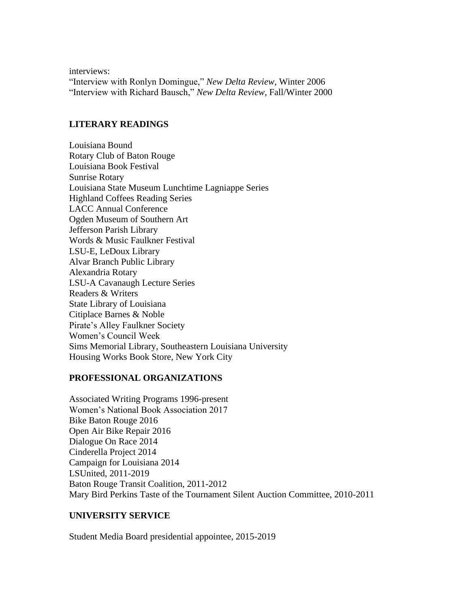interviews: "Interview with Ronlyn Domingue," *New Delta Review*, Winter 2006 "Interview with Richard Bausch," *New Delta Review*, Fall/Winter 2000

#### **LITERARY READINGS**

Louisiana Bound Rotary Club of Baton Rouge Louisiana Book Festival Sunrise Rotary Louisiana State Museum Lunchtime Lagniappe Series Highland Coffees Reading Series LACC Annual Conference Ogden Museum of Southern Art Jefferson Parish Library Words & Music Faulkner Festival LSU-E, LeDoux Library Alvar Branch Public Library Alexandria Rotary LSU-A Cavanaugh Lecture Series Readers & Writers State Library of Louisiana Citiplace Barnes & Noble Pirate's Alley Faulkner Society Women's Council Week Sims Memorial Library, Southeastern Louisiana University Housing Works Book Store, New York City

#### **PROFESSIONAL ORGANIZATIONS**

Associated Writing Programs 1996-present Women's National Book Association 2017 Bike Baton Rouge 2016 Open Air Bike Repair 2016 Dialogue On Race 2014 Cinderella Project 2014 Campaign for Louisiana 2014 LSUnited, 2011-2019 Baton Rouge Transit Coalition, 2011-2012 Mary Bird Perkins Taste of the Tournament Silent Auction Committee, 2010-2011

## **UNIVERSITY SERVICE**

Student Media Board presidential appointee, 2015-2019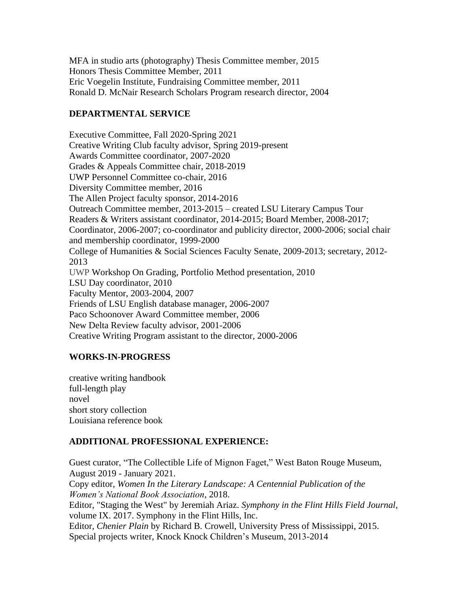MFA in studio arts (photography) Thesis Committee member, 2015 Honors Thesis Committee Member, 2011 Eric Voegelin Institute, Fundraising Committee member, 2011 Ronald D. McNair Research Scholars Program research director, 2004

# **DEPARTMENTAL SERVICE**

Executive Committee, Fall 2020-Spring 2021 Creative Writing Club faculty advisor, Spring 2019-present Awards Committee coordinator, 2007-2020 Grades & Appeals Committee chair, 2018-2019 UWP Personnel Committee co-chair, 2016 Diversity Committee member, 2016 The Allen Project faculty sponsor, 2014-2016 Outreach Committee member, 2013-2015 – created LSU Literary Campus Tour Readers & Writers assistant coordinator, 2014-2015; Board Member, 2008-2017; Coordinator, 2006-2007; co-coordinator and publicity director, 2000-2006; social chair and membership coordinator, 1999-2000 College of Humanities & Social Sciences Faculty Senate, 2009-2013; secretary, 2012- 2013 UWP Workshop On Grading, Portfolio Method presentation, 2010 LSU Day coordinator, 2010 Faculty Mentor, 2003-2004, 2007 Friends of LSU English database manager, 2006-2007 Paco Schoonover Award Committee member, 2006 New Delta Review faculty advisor, 2001-2006 Creative Writing Program assistant to the director, 2000-2006

# **WORKS-IN-PROGRESS**

creative writing handbook full-length play novel short story collection Louisiana reference book

## **ADDITIONAL PROFESSIONAL EXPERIENCE:**

Guest curator, "The Collectible Life of Mignon Faget," West Baton Rouge Museum, August 2019 - January 2021. Copy editor, *Women In the Literary Landscape: A Centennial Publication of the Women's National Book Association*, 2018. Editor, "Staging the West" by Jeremiah Ariaz. *Symphony in the Flint Hills Field Journal*, volume IX. 2017. Symphony in the Flint Hills, Inc. Editor, *Chenier Plain* by Richard B. Crowell, University Press of Mississippi, 2015. Special projects writer, Knock Knock Children's Museum, 2013-2014